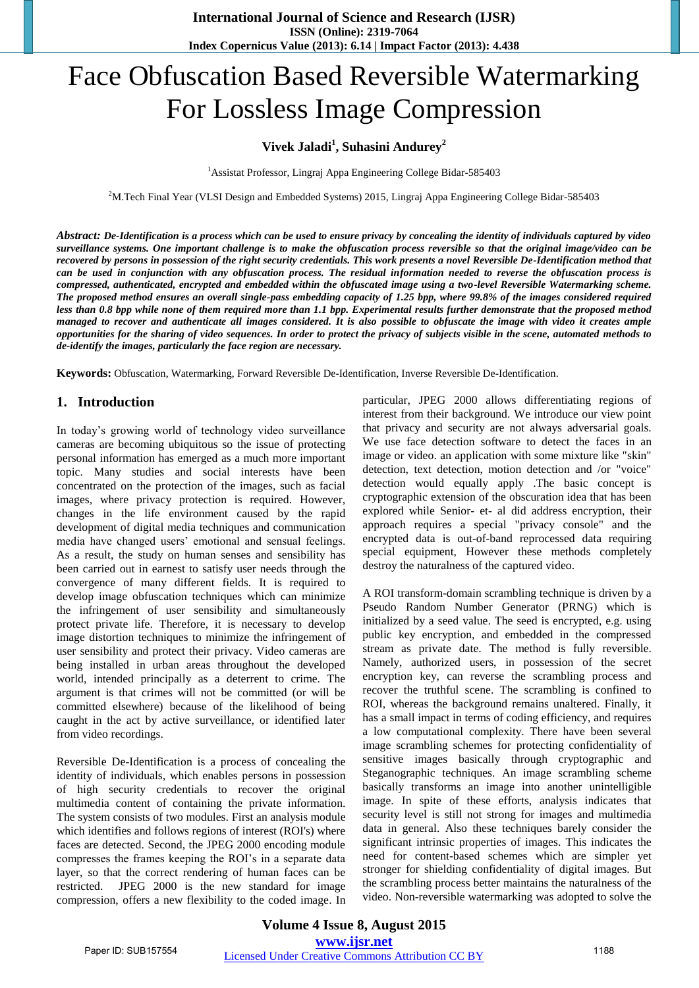# Face Obfuscation Based Reversible Watermarking For Lossless Image Compression

## **Vivek Jaladi<sup>1</sup> , Suhasini Andurey<sup>2</sup>**

<sup>1</sup>Assistat Professor, Lingraj Appa Engineering College Bidar-585403

<sup>2</sup>M.Tech Final Year (VLSI Design and Embedded Systems) 2015, Lingraj Appa Engineering College Bidar-585403

*Abstract: De-Identification is a process which can be used to ensure privacy by concealing the identity of individuals captured by video surveillance systems. One important challenge is to make the obfuscation process reversible so that the original image/video can be recovered by persons in possession of the right security credentials. This work presents a novel Reversible De-Identification method that can be used in conjunction with any obfuscation process. The residual information needed to reverse the obfuscation process is compressed, authenticated, encrypted and embedded within the obfuscated image using a two-level Reversible Watermarking scheme. The proposed method ensures an overall single-pass embedding capacity of 1.25 bpp, where 99.8% of the images considered required less than 0.8 bpp while none of them required more than 1.1 bpp. Experimental results further demonstrate that the proposed method managed to recover and authenticate all images considered. It is also possible to obfuscate the image with video it creates ample opportunities for the sharing of video sequences. In order to protect the privacy of subjects visible in the scene, automated methods to de-identify the images, particularly the face region are necessary.* 

**Keywords:** Obfuscation, Watermarking, Forward Reversible De-Identification, Inverse Reversible De-Identification.

## **1. Introduction**

In today's growing world of technology video surveillance cameras are becoming ubiquitous so the issue of protecting personal information has emerged as a much more important topic. Many studies and social interests have been concentrated on the protection of the images, such as facial images, where privacy protection is required. However, changes in the life environment caused by the rapid development of digital media techniques and communication media have changed users' emotional and sensual feelings. As a result, the study on human senses and sensibility has been carried out in earnest to satisfy user needs through the convergence of many different fields. It is required to develop image obfuscation techniques which can minimize the infringement of user sensibility and simultaneously protect private life. Therefore, it is necessary to develop image distortion techniques to minimize the infringement of user sensibility and protect their privacy. Video cameras are being installed in urban areas throughout the developed world, intended principally as a deterrent to crime. The argument is that crimes will not be committed (or will be committed elsewhere) because of the likelihood of being caught in the act by active surveillance, or identified later from video recordings.

Reversible De-Identification is a process of concealing the identity of individuals, which enables persons in possession of high security credentials to recover the original multimedia content of containing the private information. The system consists of two modules. First an analysis module which identifies and follows regions of interest (ROI's) where faces are detected. Second, the JPEG 2000 encoding module compresses the frames keeping the ROI's in a separate data layer, so that the correct rendering of human faces can be restricted. JPEG 2000 is the new standard for image compression, offers a new flexibility to the coded image. In particular, JPEG 2000 allows differentiating regions of interest from their background. We introduce our view point that privacy and security are not always adversarial goals. We use face detection software to detect the faces in an image or video. an application with some mixture like "skin" detection, text detection, motion detection and /or "voice" detection would equally apply .The basic concept is cryptographic extension of the obscuration idea that has been explored while Senior- et- al did address encryption, their approach requires a special "privacy console" and the encrypted data is out-of-band reprocessed data requiring special equipment, However these methods completely destroy the naturalness of the captured video.

A ROI transform-domain scrambling technique is driven by a Pseudo Random Number Generator (PRNG) which is initialized by a seed value. The seed is encrypted, e.g. using public key encryption, and embedded in the compressed stream as private date. The method is fully reversible. Namely, authorized users, in possession of the secret encryption key, can reverse the scrambling process and recover the truthful scene. The scrambling is confined to ROI, whereas the background remains unaltered. Finally, it has a small impact in terms of coding efficiency, and requires a low computational complexity. There have been several image scrambling schemes for protecting confidentiality of sensitive images basically through cryptographic and Steganographic techniques. An image scrambling scheme basically transforms an image into another unintelligible image. In spite of these efforts, analysis indicates that security level is still not strong for images and multimedia data in general. Also these techniques barely consider the significant intrinsic properties of images. This indicates the need for content-based schemes which are simpler yet stronger for shielding confidentiality of digital images. But the scrambling process better maintains the naturalness of the video. Non-reversible watermarking was adopted to solve the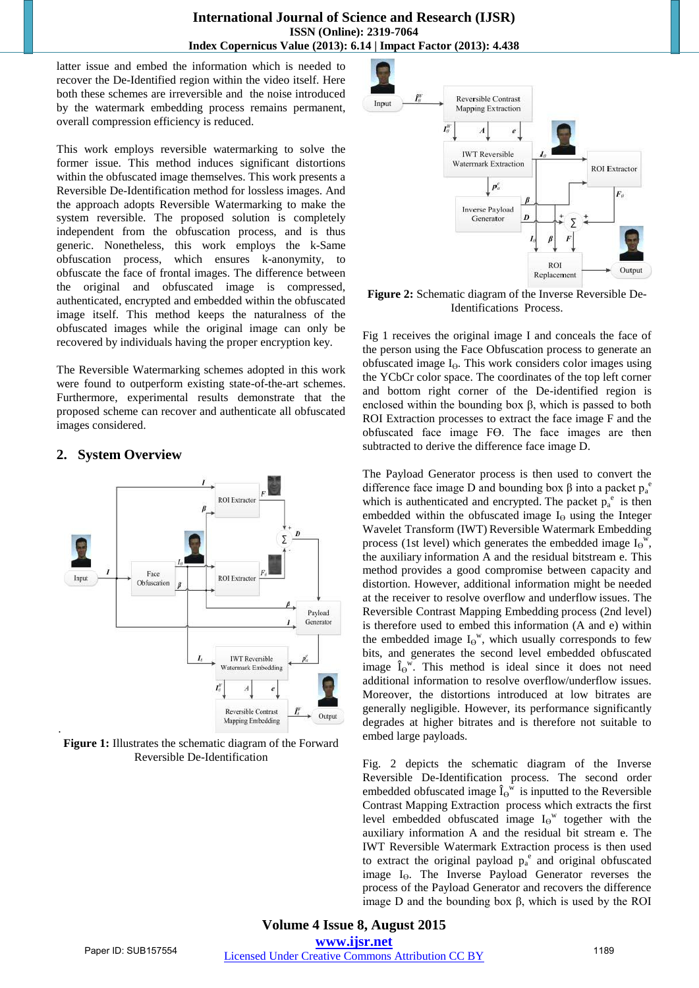#### **International Journal of Science and Research (IJSR) ISSN (Online): 2319-7064 Index Copernicus Value (2013): 6.14 | Impact Factor (2013): 4.438**

latter issue and embed the information which is needed to recover the De-Identified region within the video itself. Here both these schemes are irreversible and the noise introduced by the watermark embedding process remains permanent, overall compression efficiency is reduced.

This work employs reversible watermarking to solve the former issue. This method induces significant distortions within the obfuscated image themselves. This work presents a Reversible De-Identification method for lossless images. And the approach adopts Reversible Watermarking to make the system reversible. The proposed solution is completely independent from the obfuscation process, and is thus generic. Nonetheless, this work employs the k-Same obfuscation process, which ensures k-anonymity, to obfuscate the face of frontal images. The difference between the original and obfuscated image is compressed, authenticated, encrypted and embedded within the obfuscated image itself. This method keeps the naturalness of the obfuscated images while the original image can only be recovered by individuals having the proper encryption key.

The Reversible Watermarking schemes adopted in this work were found to outperform existing state-of-the-art schemes. Furthermore, experimental results demonstrate that the proposed scheme can recover and authenticate all obfuscated images considered.

# **2. System Overview**



**Figure 1:** Illustrates the schematic diagram of the Forward Reversible De-Identification



**Figure 2:** Schematic diagram of the Inverse Reversible De-Identifications Process.

Fig 1 receives the original image I and conceals the face of the person using the Face Obfuscation process to generate an obfuscated image  $I_{\Theta}$ . This work considers color images using the YCbCr color space. The coordinates of the top left corner and bottom right corner of the De-identified region is enclosed within the bounding box β, which is passed to both ROI Extraction processes to extract the face image F and the obfuscated face image Fϴ. The face images are then subtracted to derive the difference face image D.

The Payload Generator process is then used to convert the difference face image D and bounding box β into a packet  $p_a^e$ which is authenticated and encrypted. The packet  $p_a^e$  is then embedded within the obfuscated image  $I_{\Theta}$  using the Integer Wavelet Transform (IWT) Reversible Watermark Embedding process (1st level) which generates the embedded image  $I_{\Theta}^{\{w\}}$ , the auxiliary information A and the residual bitstream e. This method provides a good compromise between capacity and distortion. However, additional information might be needed at the receiver to resolve overflow and underflow issues. The Reversible Contrast Mapping Embedding process (2nd level) is therefore used to embed this information (A and e) within the embedded image  $I_{\Theta}$ <sup>w</sup>, which usually corresponds to few bits, and generates the second level embedded obfuscated image  $\hat{I}_{\Theta}^{\mathbf{w}}$ . This method is ideal since it does not need additional information to resolve overflow/underflow issues. Moreover, the distortions introduced at low bitrates are generally negligible. However, its performance significantly degrades at higher bitrates and is therefore not suitable to embed large payloads.

Fig. 2 depicts the schematic diagram of the Inverse Reversible De-Identification process. The second order embedded obfuscated image  $\hat{I}_{\Theta}^{\overline{w}}$  is inputted to the Reversible Contrast Mapping Extraction process which extracts the first level embedded obfuscated image  $I_{\Theta}$ <sup>w</sup> together with the auxiliary information A and the residual bit stream e. The IWT Reversible Watermark Extraction process is then used to extract the original payload  $p_a^e$  and original obfuscated image I<sub>o</sub>. The Inverse Payload Generator reverses the process of the Payload Generator and recovers the difference image D and the bounding box β, which is used by the ROI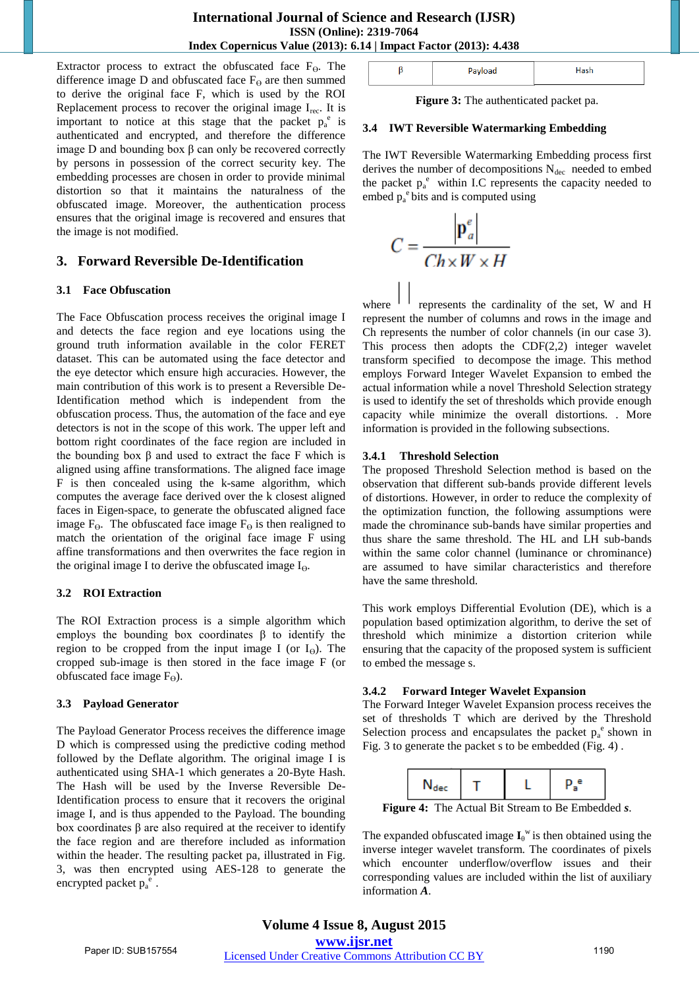Extractor process to extract the obfuscated face  $F_{\theta}$ . The difference image D and obfuscated face  $F_{\Theta}$  are then summed to derive the original face F, which is used by the ROI Replacement process to recover the original image  $I_{rec}$ . It is important to notice at this stage that the packet  $p_a^e$  is authenticated and encrypted, and therefore the difference image D and bounding box β can only be recovered correctly by persons in possession of the correct security key. The embedding processes are chosen in order to provide minimal distortion so that it maintains the naturalness of the obfuscated image. Moreover, the authentication process ensures that the original image is recovered and ensures that the image is not modified.

## **3. Forward Reversible De-Identification**

#### **3.1 Face Obfuscation**

The Face Obfuscation process receives the original image I and detects the face region and eye locations using the ground truth information available in the color FERET dataset. This can be automated using the face detector and the eye detector which ensure high accuracies. However, the main contribution of this work is to present a Reversible De-Identification method which is independent from the obfuscation process. Thus, the automation of the face and eye detectors is not in the scope of this work. The upper left and bottom right coordinates of the face region are included in the bounding box  $β$  and used to extract the face F which is aligned using affine transformations. The aligned face image F is then concealed using the k-same algorithm, which computes the average face derived over the k closest aligned faces in Eigen-space, to generate the obfuscated aligned face image  $F_{\Theta}$ . The obfuscated face image  $F_{\Theta}$  is then realigned to match the orientation of the original face image F using affine transformations and then overwrites the face region in the original image I to derive the obfuscated image  $I_{\Theta}$ .

#### **3.2 ROI Extraction**

The ROI Extraction process is a simple algorithm which employs the bounding box coordinates  $\beta$  to identify the region to be cropped from the input image I (or  $I_{\Theta}$ ). The cropped sub-image is then stored in the face image F (or obfuscated face image  $F_{\Theta}$ ).

#### **3.3 Payload Generator**

The Payload Generator Process receives the difference image D which is compressed using the predictive coding method followed by the Deflate algorithm. The original image I is authenticated using SHA-1 which generates a 20-Byte Hash. The Hash will be used by the Inverse Reversible De-Identification process to ensure that it recovers the original image I, and is thus appended to the Payload. The bounding box coordinates β are also required at the receiver to identify the face region and are therefore included as information within the header. The resulting packet pa, illustrated in Fig. 3, was then encrypted using AES-128 to generate the encrypted packet  $p_a^e$ .

| --- |  |
|-----|--|
|     |  |

**Figure 3:** The authenticated packet pa.

#### **3.4 IWT Reversible Watermarking Embedding**

The IWT Reversible Watermarking Embedding process first derives the number of decompositions  $N_{\text{dec}}$  needed to embed the packet  $p_a^e$  within I.C represents the capacity needed to embed  $p_a^e$  bits and is computed using

$$
C = \frac{\left|\mathbf{p}_a^e\right|}{Ch \times W \times H}
$$

where  $11$  represents the cardinality of the set, W and H represent the number of columns and rows in the image and Ch represents the number of color channels (in our case 3). This process then adopts the  $CDF(2,2)$  integer wavelet transform specified to decompose the image. This method employs Forward Integer Wavelet Expansion to embed the actual information while a novel Threshold Selection strategy is used to identify the set of thresholds which provide enough capacity while minimize the overall distortions. . More information is provided in the following subsections.

#### **3.4.1 Threshold Selection**

The proposed Threshold Selection method is based on the observation that different sub-bands provide different levels of distortions. However, in order to reduce the complexity of the optimization function, the following assumptions were made the chrominance sub-bands have similar properties and thus share the same threshold. The HL and LH sub-bands within the same color channel (luminance or chrominance) are assumed to have similar characteristics and therefore have the same threshold.

This work employs Differential Evolution (DE), which is a population based optimization algorithm, to derive the set of threshold which minimize a distortion criterion while ensuring that the capacity of the proposed system is sufficient to embed the message s.

#### **3.4.2 Forward Integer Wavelet Expansion**

The Forward Integer Wavelet Expansion process receives the set of thresholds T which are derived by the Threshold Selection process and encapsulates the packet  $p_a^e$  shown in Fig. 3 to generate the packet s to be embedded (Fig. 4) .

|--|--|--|

**Figure 4:** The Actual Bit Stream to Be Embedded *s*.

The expanded obfuscated image  $I_{\theta}$ <sup>w</sup> is then obtained using the inverse integer wavelet transform. The coordinates of pixels which encounter underflow/overflow issues and their corresponding values are included within the list of auxiliary information *A*.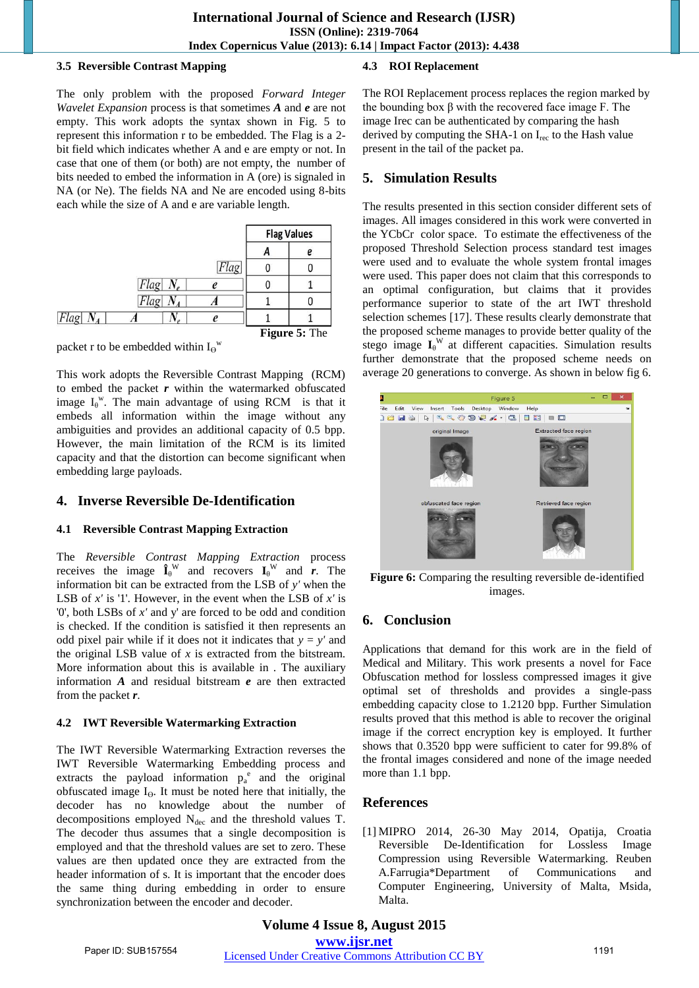#### **3.5 Reversible Contrast Mapping**

The only problem with the proposed *Forward Integer Wavelet Expansion* process is that sometimes *A* and *e* are not empty. This work adopts the syntax shown in Fig. 5 to represent this information r to be embedded. The Flag is a 2 bit field which indicates whether A and e are empty or not. In case that one of them (or both) are not empty, the number of bits needed to embed the information in A (ore) is signaled in NA (or Ne). The fields NA and Ne are encoded using 8-bits each while the size of A and e are variable length.

|      |            |      | <b>Flag Values</b> |  |
|------|------------|------|--------------------|--|
|      |            |      |                    |  |
|      |            | Flag |                    |  |
|      | $Flag N_e$ |      |                    |  |
|      |            |      |                    |  |
| Flag |            |      |                    |  |
|      |            |      | Figure 5: The      |  |

packet r to be embedded within  $I_{\Theta}$ <sup>w</sup>

This work adopts the Reversible Contrast Mapping (RCM) to embed the packet *r* within the watermarked obfuscated image  $I_{\theta}$ <sup>w</sup>. The main advantage of using RCM is that it embeds all information within the image without any ambiguities and provides an additional capacity of 0.5 bpp. However, the main limitation of the RCM is its limited capacity and that the distortion can become significant when embedding large payloads.

# **4. Inverse Reversible De-Identification**

## **4.1 Reversible Contrast Mapping Extraction**

The *Reversible Contrast Mapping Extraction* process receives the image  $\mathbf{\hat{I}}_{\theta}^{\mathbf{W}}$  and recovers  $\mathbf{I}_{\theta}^{\mathbf{W}}$  and *r*. The information bit can be extracted from the LSB of *y'* when the LSB of *x'* is '1'. However, in the event when the LSB of *x'* is '0', both LSBs of *x'* and y' are forced to be odd and condition is checked. If the condition is satisfied it then represents an odd pixel pair while if it does not it indicates that  $y = y'$  and the original LSB value of *x* is extracted from the bitstream. More information about this is available in . The auxiliary information *A* and residual bitstream *e* are then extracted from the packet *r*.

## **4.2 IWT Reversible Watermarking Extraction**

The IWT Reversible Watermarking Extraction reverses the IWT Reversible Watermarking Embedding process and extracts the payload information  $p_a^e$  and the original obfuscated image  $I_{\Theta}$ . It must be noted here that initially, the decoder has no knowledge about the number of decompositions employed  $N_{\text{dec}}$  and the threshold values T. The decoder thus assumes that a single decomposition is employed and that the threshold values are set to zero. These values are then updated once they are extracted from the header information of s. It is important that the encoder does the same thing during embedding in order to ensure synchronization between the encoder and decoder.

# **4.3 ROI Replacement**

The ROI Replacement process replaces the region marked by the bounding box  $β$  with the recovered face image F. The image Irec can be authenticated by comparing the hash derived by computing the SHA-1 on  $I_{rec}$  to the Hash value present in the tail of the packet pa.

# **5. Simulation Results**

The results presented in this section consider different sets of images. All images considered in this work were converted in the YCbCr color space. To estimate the effectiveness of the proposed Threshold Selection process standard test images were used and to evaluate the whole system frontal images were used. This paper does not claim that this corresponds to an optimal configuration, but claims that it provides performance superior to state of the art IWT threshold selection schemes [17]. These results clearly demonstrate that the proposed scheme manages to provide better quality of the stego image  $I_{\theta}$ <sup>W</sup> at different capacities. Simulation results further demonstrate that the proposed scheme needs on average 20 generations to converge. As shown in below fig 6.



**Figure 6:** Comparing the resulting reversible de-identified images.

# **6. Conclusion**

Applications that demand for this work are in the field of Medical and Military. This work presents a novel for Face Obfuscation method for lossless compressed images it give optimal set of thresholds and provides a single-pass embedding capacity close to 1.2120 bpp. Further Simulation results proved that this method is able to recover the original image if the correct encryption key is employed. It further shows that 0.3520 bpp were sufficient to cater for 99.8% of the frontal images considered and none of the image needed more than 1.1 bpp.

# **References**

[1] MIPRO 2014, 26-30 May 2014, Opatija, Croatia Reversible De-Identification for Lossless Image Compression using Reversible Watermarking. Reuben A.Farrugia\*Department of Communications and Computer Engineering, University of Malta, Msida, Malta.